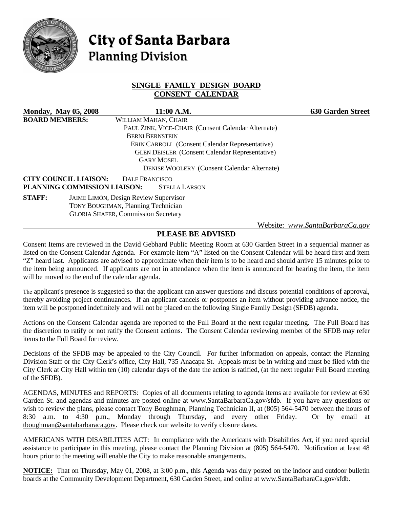

# **City of Santa Barbara Planning Division**

# **SINGLE FAMILY DESIGN BOARD CONSENT CALENDAR**

|                                                                            | <b>Monday, May 05, 2008</b>  |                                            | 11:00 A.M.                                            |  | <b>630 Garden Street</b>        |
|----------------------------------------------------------------------------|------------------------------|--------------------------------------------|-------------------------------------------------------|--|---------------------------------|
| <b>BOARD MEMBERS:</b>                                                      |                              | WILLIAM MAHAN, CHAIR                       |                                                       |  |                                 |
|                                                                            |                              |                                            | PAUL ZINK, VICE-CHAIR (Consent Calendar Alternate)    |  |                                 |
|                                                                            |                              | <b>BERNI BERNSTEIN</b>                     |                                                       |  |                                 |
|                                                                            |                              |                                            | <b>ERIN CARROLL (Consent Calendar Representative)</b> |  |                                 |
| <b>GLEN DEISLER</b> (Consent Calendar Representative)<br><b>GARY MOSEL</b> |                              |                                            |                                                       |  |                                 |
|                                                                            |                              |                                            |                                                       |  |                                 |
|                                                                            |                              |                                            | <b>DENISE WOOLERY</b> (Consent Calendar Alternate)    |  |                                 |
|                                                                            | <b>CITY COUNCIL LIAISON:</b> | <b>DALE FRANCISCO</b>                      |                                                       |  |                                 |
|                                                                            | PLANNING COMMISSION LIAISON: |                                            | <b>STELLA LARSON</b>                                  |  |                                 |
| <b>STAFF:</b>                                                              |                              | JAIME LIMÓN, Design Review Supervisor      |                                                       |  |                                 |
|                                                                            |                              | <b>TONY BOUGHMAN, Planning Technician</b>  |                                                       |  |                                 |
|                                                                            |                              | <b>GLORIA SHAFER, Commission Secretary</b> |                                                       |  |                                 |
|                                                                            |                              |                                            |                                                       |  | Website: www.SantaBarbaraCa.gov |

# **PLEASE BE ADVISED**

Consent Items are reviewed in the David Gebhard Public Meeting Room at 630 Garden Street in a sequential manner as listed on the Consent Calendar Agenda. For example item "A" listed on the Consent Calendar will be heard first and item "Z" heard last. Applicants are advised to approximate when their item is to be heard and should arrive 15 minutes prior to the item being announced. If applicants are not in attendance when the item is announced for hearing the item, the item will be moved to the end of the calendar agenda.

The applicant's presence is suggested so that the applicant can answer questions and discuss potential conditions of approval, thereby avoiding project continuances. If an applicant cancels or postpones an item without providing advance notice, the item will be postponed indefinitely and will not be placed on the following Single Family Design (SFDB) agenda.

Actions on the Consent Calendar agenda are reported to the Full Board at the next regular meeting. The Full Board has the discretion to ratify or not ratify the Consent actions. The Consent Calendar reviewing member of the SFDB may refer items to the Full Board for review.

Decisions of the SFDB may be appealed to the City Council. For further information on appeals, contact the Planning Division Staff or the City Clerk's office, City Hall, 735 Anacapa St. Appeals must be in writing and must be filed with the City Clerk at City Hall within ten (10) calendar days of the date the action is ratified, (at the next regular Full Board meeting of the SFDB).

AGENDAS, MINUTES and REPORTS: Copies of all documents relating to agenda items are available for review at 630 Garden St. and agendas and minutes are posted online at www.SantaBarbaraCa.gov/sfdb. If you have any questions or wish to review the plans, please contact Tony Boughman, Planning Technician II, at (805) 564-5470 between the hours of 8:30 a.m. to 4:30 p.m., Monday through Thursday, and every other Friday. Or by email at tboughman@santabarbaraca.gov. Please check our website to verify closure dates.

AMERICANS WITH DISABILITIES ACT: In compliance with the Americans with Disabilities Act, if you need special assistance to participate in this meeting, please contact the Planning Division at (805) 564-5470. Notification at least 48 hours prior to the meeting will enable the City to make reasonable arrangements.

**NOTICE:** That on Thursday, May 01, 2008, at 3:00 p.m., this Agenda was duly posted on the indoor and outdoor bulletin boards at the Community Development Department, 630 Garden Street, and online at www.SantaBarbaraCa.gov/sfdb.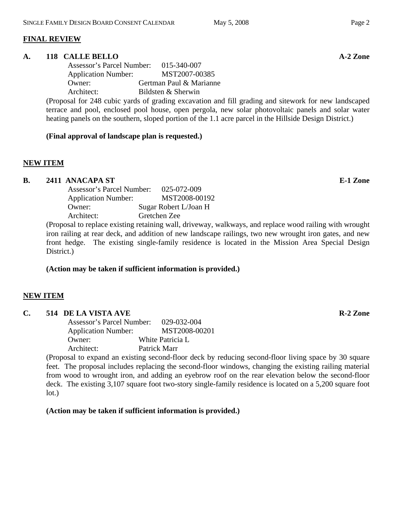# **FINAL REVIEW**

#### A. 118 CALLE BELLO **A-2** Zone

 Assessor's Parcel Number: 015-340-007 Application Number: MST2007-00385 Owner: Gertman Paul & Marianne Architect: Bildsten & Sherwin

(Proposal for 248 cubic yards of grading excavation and fill grading and sitework for new landscaped terrace and pool, enclosed pool house, open pergola, new solar photovoltaic panels and solar water heating panels on the southern, sloped portion of the 1.1 acre parcel in the Hillside Design District.)

#### **(Final approval of landscape plan is requested.)**

# **NEW ITEM**

# **B.** 2411 ANACAPA ST **E-1** Zone

| Assessor's Parcel Number:  | 025-072-009           |
|----------------------------|-----------------------|
| <b>Application Number:</b> | MST2008-00192         |
| Owner:                     | Sugar Robert L/Joan H |
| Architect:                 | Gretchen Zee          |
|                            |                       |

(Proposal to replace existing retaining wall, driveway, walkways, and replace wood railing with wrought iron railing at rear deck, and addition of new landscape railings, two new wrought iron gates, and new front hedge. The existing single-family residence is located in the Mission Area Special Design District.)

# **(Action may be taken if sufficient information is provided.)**

# **NEW ITEM**

#### **C.** 514 DE LA VISTA AVE **R-2** Zone

 Assessor's Parcel Number: 029-032-004 Application Number: MST2008-00201 Owner: White Patricia L Architect: Patrick Marr

(Proposal to expand an existing second-floor deck by reducing second-floor living space by 30 square feet. The proposal includes replacing the second-floor windows, changing the existing railing material from wood to wrought iron, and adding an eyebrow roof on the rear elevation below the second-floor deck. The existing 3,107 square foot two-story single-family residence is located on a 5,200 square foot lot.)

**(Action may be taken if sufficient information is provided.)**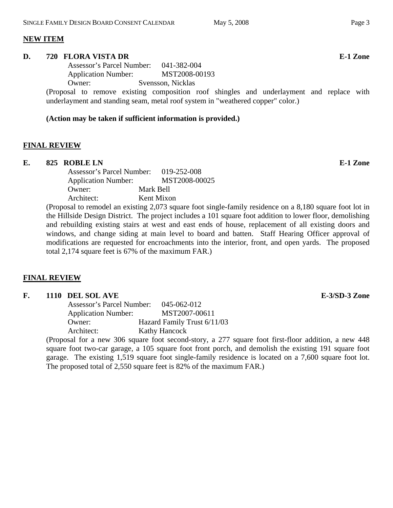#### **NEW ITEM**

#### **D. 720 FLORA VISTA DR E-1 Zone**

 Assessor's Parcel Number: 041-382-004 Application Number: MST2008-00193 Owner: Svensson, Nicklas

(Proposal to remove existing composition roof shingles and underlayment and replace with underlayment and standing seam, metal roof system in "weathered copper" color.)

#### **(Action may be taken if sufficient information is provided.)**

#### **FINAL REVIEW**

#### **E. 825 ROBLE LN E-1 Zone**

|                            | Assessor's Parcel Number: |            | 019-252-008   |  |
|----------------------------|---------------------------|------------|---------------|--|
| <b>Application Number:</b> |                           |            | MST2008-00025 |  |
| Owner:                     |                           | Mark Bell  |               |  |
| Architect:                 |                           | Kent Mixon |               |  |
|                            |                           |            |               |  |

(Proposal to remodel an existing 2,073 square foot single-family residence on a 8,180 square foot lot in the Hillside Design District. The project includes a 101 square foot addition to lower floor, demolishing and rebuilding existing stairs at west and east ends of house, replacement of all existing doors and windows, and change siding at main level to board and batten. Staff Hearing Officer approval of modifications are requested for encroachments into the interior, front, and open yards. The proposed total 2,174 square feet is 67% of the maximum FAR.)

#### **FINAL REVIEW**

# F. 1110 DEL SOL AVE **E-3/SD-3** Zone

| Assessor's Parcel Number:  | 045-062-012                 |
|----------------------------|-----------------------------|
| <b>Application Number:</b> | MST2007-00611               |
| Owner:                     | Hazard Family Trust 6/11/03 |
| Architect:                 | <b>Kathy Hancock</b>        |

(Proposal for a new 306 square foot second-story, a 277 square foot first-floor addition, a new 448 square foot two-car garage, a 105 square foot front porch, and demolish the existing 191 square foot garage. The existing 1,519 square foot single-family residence is located on a 7,600 square foot lot. The proposed total of 2,550 square feet is 82% of the maximum FAR.)